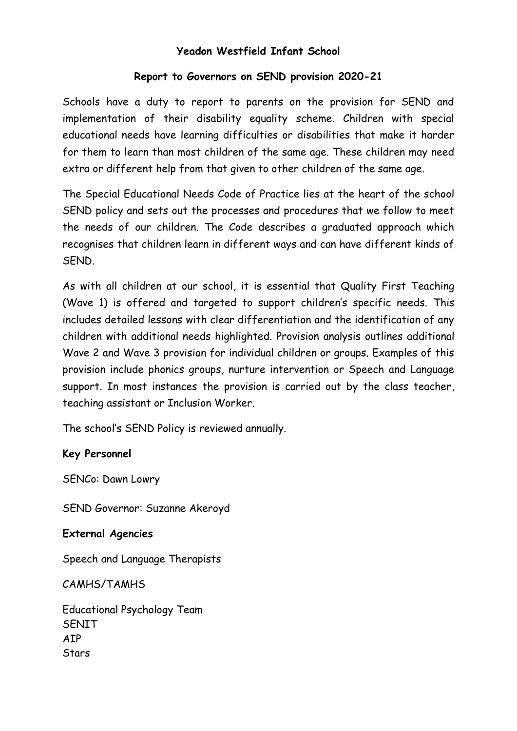# **Yeadon Westfield Infant School**

### **Report to Governors on SEND provision 2020-21**

Schools have a duty to report to parents on the provision for SEND and implementation of their disability equality scheme. Children with special educational needs have learning difficulties or disabilities that make it harder for them to learn than most children of the same age. These children may need extra or different help from that given to other children of the same age.

The Special Educational Needs Code of Practice lies at the heart of the school SEND policy and sets out the processes and procedures that we follow to meet the needs of our children. The Code describes a graduated approach which recognises that children learn in different ways and can have different kinds of SEND.

As with all children at our school, it is essential that Quality First Teaching (Wave 1) is offered and targeted to support children's specific needs. This includes detailed lessons with clear differentiation and the identification of any children with additional needs highlighted. Provision analysis outlines additional Wave 2 and Wave 3 provision for individual children or groups. Examples of this provision include phonics groups, nurture intervention or Speech and Language support. In most instances the provision is carried out by the class teacher, teaching assistant or Inclusion Worker.

The school's SEND Policy is reviewed annually.

# **Key Personnel**

SENCo: Dawn Lowry

SEND Governor: Suzanne Akeroyd

#### **External Agencies**

Speech and Language Therapists

CAMHS/TAMHS

Educational Psychology Team SENIT **ATP Stars**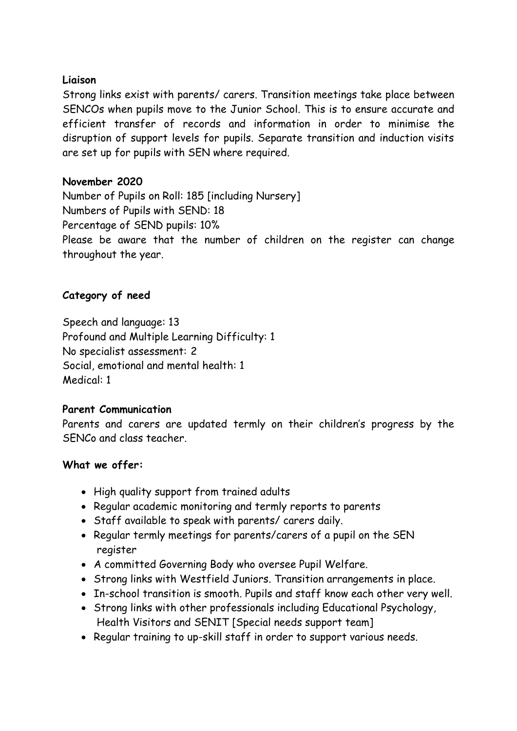### **Liaison**

Strong links exist with parents/ carers. Transition meetings take place between SENCOs when pupils move to the Junior School. This is to ensure accurate and efficient transfer of records and information in order to minimise the disruption of support levels for pupils. Separate transition and induction visits are set up for pupils with SEN where required.

### **November 2020**

Number of Pupils on Roll: 185 [including Nursery] Numbers of Pupils with SEND: 18 Percentage of SEND pupils: 10% Please be aware that the number of children on the register can change throughout the year.

# **Category of need**

Speech and language: 13 Profound and Multiple Learning Difficulty: 1 No specialist assessment: 2 Social, emotional and mental health: 1 Medical: 1

#### **Parent Communication**

Parents and carers are updated termly on their children's progress by the SENCo and class teacher.

#### **What we offer:**

- High quality support from trained adults
- Regular academic monitoring and termly reports to parents
- Staff available to speak with parents/ carers daily.
- Regular termly meetings for parents/carers of a pupil on the SEN register
- A committed Governing Body who oversee Pupil Welfare.
- Strong links with Westfield Juniors. Transition arrangements in place.
- In-school transition is smooth. Pupils and staff know each other very well.
- Strong links with other professionals including Educational Psychology, Health Visitors and SENIT [Special needs support team]
- Regular training to up-skill staff in order to support various needs.